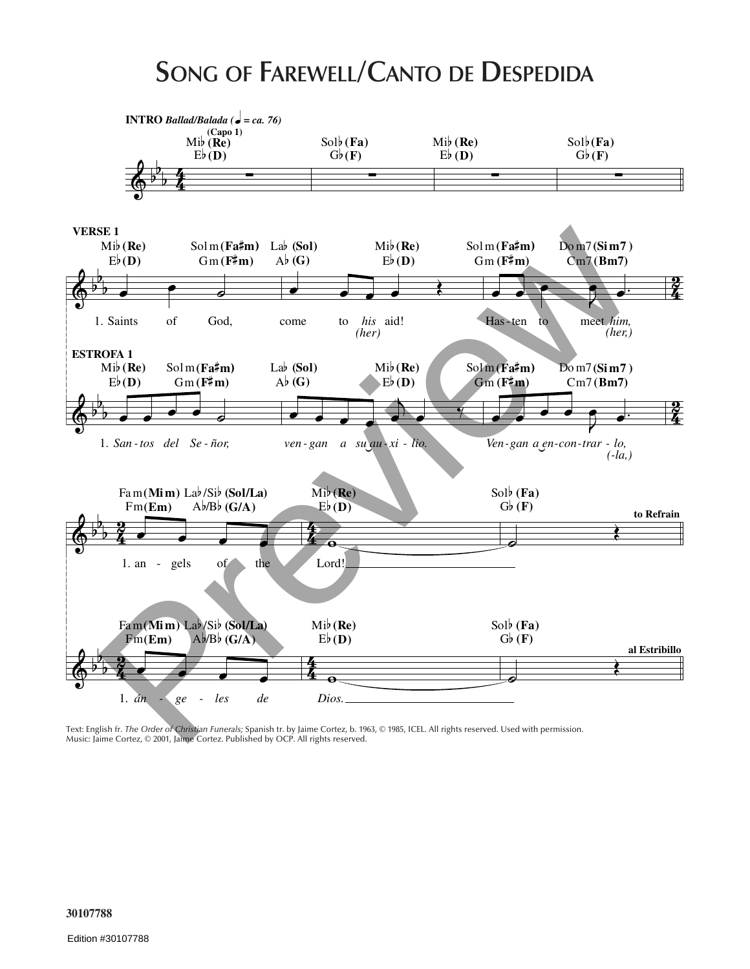## **SONG OF FAREWELL/CANTO DE DESPEDIDA**



Text: English fr. *The Order of Christian Funerals;* Spanish tr. by Jaime Cortez, b. 1963, © 1985, ICEL. All rights reserved. Used with permission. Music: Jaime Cortez, © 2001, Jaime Cortez. Published by OCP. All rights reserved.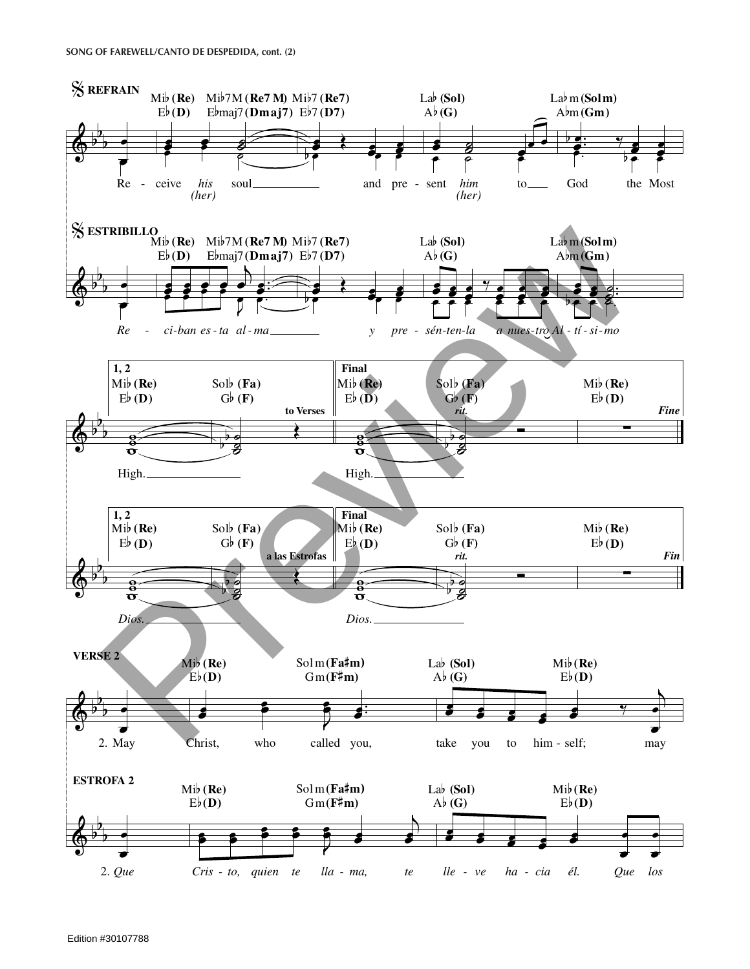## **SONG OF FAREWELL/CANTO DE DESPEDIDA, cont. (2)**